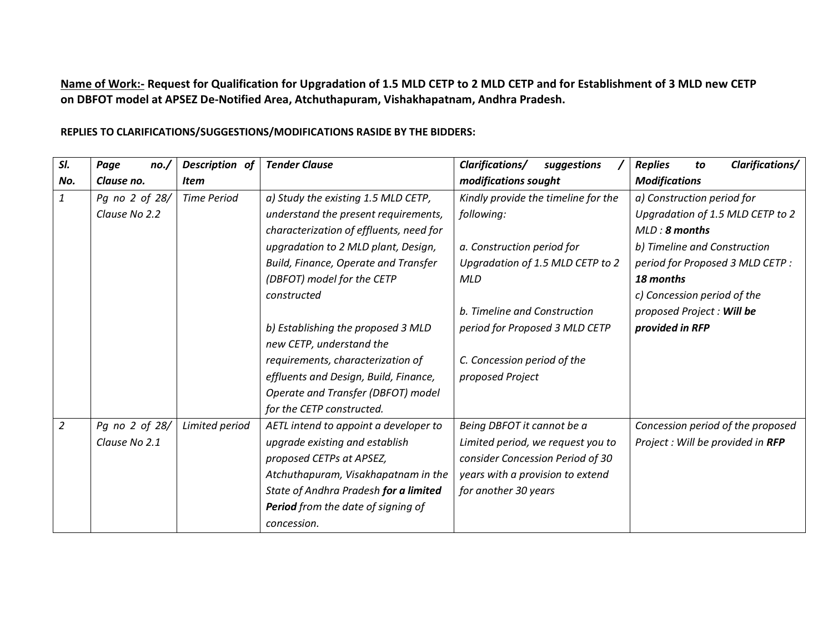**Name of Work:- Request for Qualification for Upgradation of 1.5 MLD CETP to 2 MLD CETP and for Establishment of 3 MLD new CETP on DBFOT model at APSEZ De-Notified Area, Atchuthapuram, Vishakhapatnam, Andhra Pradesh.**

| SI.            | Page<br>no.    | Description of     | <b>Tender Clause</b>                      | Clarifications/<br>suggestions      | Clarifications/<br><b>Replies</b><br>to |
|----------------|----------------|--------------------|-------------------------------------------|-------------------------------------|-----------------------------------------|
| No.            | Clause no.     | <b>Item</b>        |                                           | modifications sought                | <b>Modifications</b>                    |
| $\mathbf{1}$   | Pg no 2 of 28/ | <b>Time Period</b> | a) Study the existing 1.5 MLD CETP,       | Kindly provide the timeline for the | a) Construction period for              |
|                | Clause No 2.2  |                    | understand the present requirements,      | following:                          | Upgradation of 1.5 MLD CETP to 2        |
|                |                |                    | characterization of effluents, need for   |                                     | MLD: 8 months                           |
|                |                |                    | upgradation to 2 MLD plant, Design,       | a. Construction period for          | b) Timeline and Construction            |
|                |                |                    | Build, Finance, Operate and Transfer      | Upgradation of 1.5 MLD CETP to 2    | period for Proposed 3 MLD CETP :        |
|                |                |                    | (DBFOT) model for the CETP                | <b>MLD</b>                          | 18 months                               |
|                |                |                    | constructed                               |                                     | c) Concession period of the             |
|                |                |                    |                                           | b. Timeline and Construction        | proposed Project : Will be              |
|                |                |                    | b) Establishing the proposed 3 MLD        | period for Proposed 3 MLD CETP      | provided in RFP                         |
|                |                |                    | new CETP, understand the                  |                                     |                                         |
|                |                |                    | requirements, characterization of         | C. Concession period of the         |                                         |
|                |                |                    | effluents and Design, Build, Finance,     | proposed Project                    |                                         |
|                |                |                    | Operate and Transfer (DBFOT) model        |                                     |                                         |
|                |                |                    | for the CETP constructed.                 |                                     |                                         |
| $\overline{2}$ | Pg no 2 of 28/ | Limited period     | AETL intend to appoint a developer to     | Being DBFOT it cannot be a          | Concession period of the proposed       |
|                | Clause No 2.1  |                    | upgrade existing and establish            | Limited period, we request you to   | Project : Will be provided in RFP       |
|                |                |                    | proposed CETPs at APSEZ,                  | consider Concession Period of 30    |                                         |
|                |                |                    | Atchuthapuram, Visakhapatnam in the       | years with a provision to extend    |                                         |
|                |                |                    | State of Andhra Pradesh for a limited     | for another 30 years                |                                         |
|                |                |                    | <b>Period</b> from the date of signing of |                                     |                                         |
|                |                |                    | concession.                               |                                     |                                         |

**REPLIES TO CLARIFICATIONS/SUGGESTIONS/MODIFICATIONS RASIDE BY THE BIDDERS:**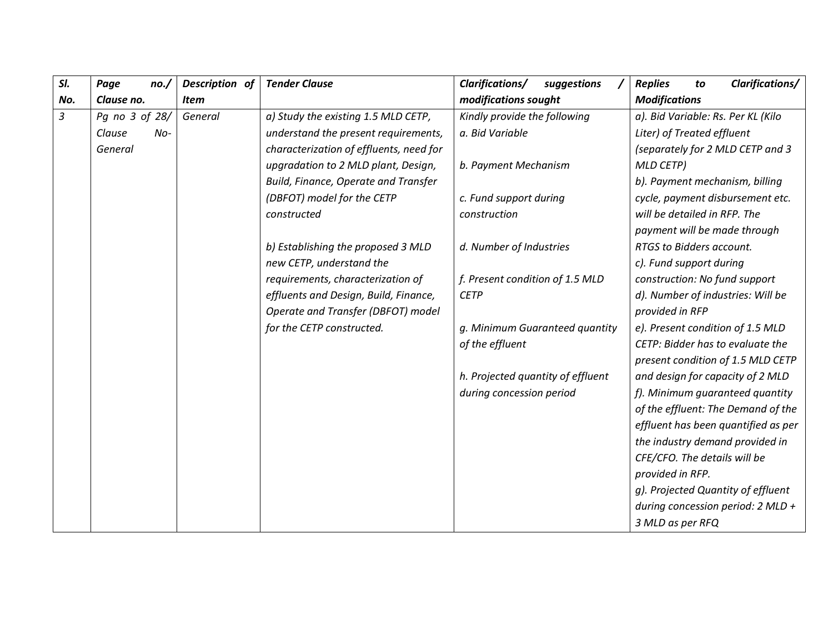| SI.            | Page<br>no.     | Description of | <b>Tender Clause</b>                    | Clarifications/<br>suggestions    | Clarifications/<br><b>Replies</b><br>to |
|----------------|-----------------|----------------|-----------------------------------------|-----------------------------------|-----------------------------------------|
| No.            | Clause no.      | <b>Item</b>    |                                         | modifications sought              | <b>Modifications</b>                    |
| $\mathfrak{Z}$ | Pg no 3 of 28/  | General        | a) Study the existing 1.5 MLD CETP,     | Kindly provide the following      | a). Bid Variable: Rs. Per KL (Kilo      |
|                | $No-$<br>Clause |                | understand the present requirements,    | a. Bid Variable                   | Liter) of Treated effluent              |
|                | General         |                | characterization of effluents, need for |                                   | (separately for 2 MLD CETP and 3        |
|                |                 |                | upgradation to 2 MLD plant, Design,     | b. Payment Mechanism              | <b>MLD CETP)</b>                        |
|                |                 |                | Build, Finance, Operate and Transfer    |                                   | b). Payment mechanism, billing          |
|                |                 |                | (DBFOT) model for the CETP              | c. Fund support during            | cycle, payment disbursement etc.        |
|                |                 |                | constructed                             | construction                      | will be detailed in RFP. The            |
|                |                 |                |                                         |                                   | payment will be made through            |
|                |                 |                | b) Establishing the proposed 3 MLD      | d. Number of Industries           | RTGS to Bidders account.                |
|                |                 |                | new CETP, understand the                |                                   | c). Fund support during                 |
|                |                 |                | requirements, characterization of       | f. Present condition of 1.5 MLD   | construction: No fund support           |
|                |                 |                | effluents and Design, Build, Finance,   | <b>CETP</b>                       | d). Number of industries: Will be       |
|                |                 |                | Operate and Transfer (DBFOT) model      |                                   | provided in RFP                         |
|                |                 |                | for the CETP constructed.               | g. Minimum Guaranteed quantity    | e). Present condition of 1.5 MLD        |
|                |                 |                |                                         | of the effluent                   | CETP: Bidder has to evaluate the        |
|                |                 |                |                                         |                                   | present condition of 1.5 MLD CETP       |
|                |                 |                |                                         | h. Projected quantity of effluent | and design for capacity of 2 MLD        |
|                |                 |                |                                         | during concession period          | f). Minimum guaranteed quantity         |
|                |                 |                |                                         |                                   | of the effluent: The Demand of the      |
|                |                 |                |                                         |                                   | effluent has been quantified as per     |
|                |                 |                |                                         |                                   | the industry demand provided in         |
|                |                 |                |                                         |                                   | CFE/CFO. The details will be            |
|                |                 |                |                                         |                                   | provided in RFP.                        |
|                |                 |                |                                         |                                   | g). Projected Quantity of effluent      |
|                |                 |                |                                         |                                   | during concession period: $2$ MLD +     |
|                |                 |                |                                         |                                   | 3 MLD as per RFQ                        |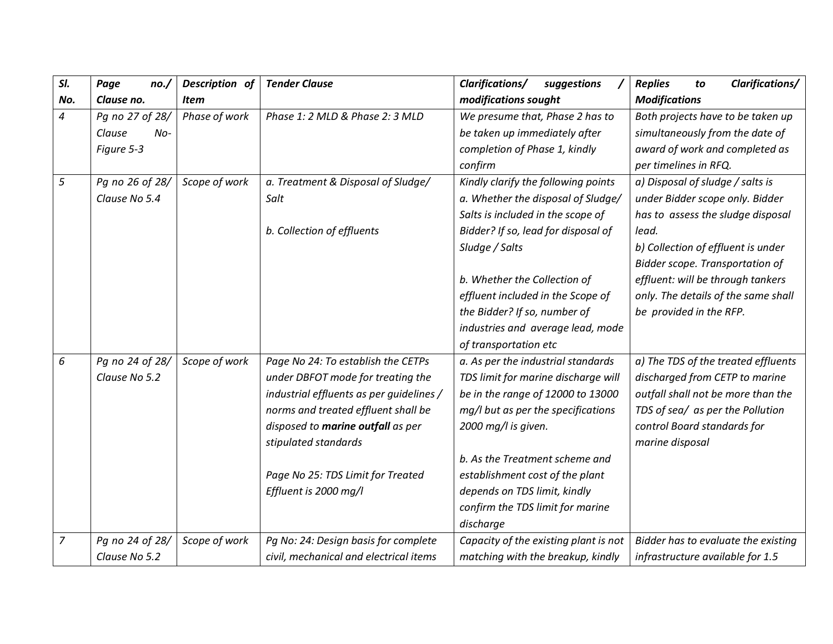| SI.            | Page<br>no./    | Description of | <b>Tender Clause</b>                     | Clarifications/<br>suggestions        | Clarifications/<br><b>Replies</b><br>to |
|----------------|-----------------|----------------|------------------------------------------|---------------------------------------|-----------------------------------------|
| No.            | Clause no.      | <b>Item</b>    |                                          | modifications sought                  | <b>Modifications</b>                    |
| 4              | Pg no 27 of 28/ | Phase of work  | Phase 1: 2 MLD & Phase 2: 3 MLD          | We presume that, Phase 2 has to       | Both projects have to be taken up       |
|                | Clause<br>No-   |                |                                          | be taken up immediately after         | simultaneously from the date of         |
|                | Figure 5-3      |                |                                          | completion of Phase 1, kindly         | award of work and completed as          |
|                |                 |                |                                          | confirm                               | per timelines in RFQ.                   |
| 5              | Pg no 26 of 28/ | Scope of work  | a. Treatment & Disposal of Sludge/       | Kindly clarify the following points   | a) Disposal of sludge / salts is        |
|                | Clause No 5.4   |                | Salt                                     | a. Whether the disposal of Sludge/    | under Bidder scope only. Bidder         |
|                |                 |                |                                          | Salts is included in the scope of     | has to assess the sludge disposal       |
|                |                 |                | b. Collection of effluents               | Bidder? If so, lead for disposal of   | lead.                                   |
|                |                 |                |                                          | Sludge / Salts                        | b) Collection of effluent is under      |
|                |                 |                |                                          |                                       | Bidder scope. Transportation of         |
|                |                 |                |                                          | b. Whether the Collection of          | effluent: will be through tankers       |
|                |                 |                |                                          | effluent included in the Scope of     | only. The details of the same shall     |
|                |                 |                |                                          | the Bidder? If so, number of          | be provided in the RFP.                 |
|                |                 |                |                                          | industries and average lead, mode     |                                         |
|                |                 |                |                                          | of transportation etc                 |                                         |
| 6              | Pg no 24 of 28/ | Scope of work  | Page No 24: To establish the CETPs       | a. As per the industrial standards    | a) The TDS of the treated effluents     |
|                | Clause No 5.2   |                | under DBFOT mode for treating the        | TDS limit for marine discharge will   | discharged from CETP to marine          |
|                |                 |                | industrial effluents as per guidelines / | be in the range of 12000 to 13000     | outfall shall not be more than the      |
|                |                 |                | norms and treated effluent shall be      | mg/l but as per the specifications    | TDS of sea/ as per the Pollution        |
|                |                 |                | disposed to marine outfall as per        | 2000 mg/l is given.                   | control Board standards for             |
|                |                 |                | stipulated standards                     |                                       | marine disposal                         |
|                |                 |                |                                          | b. As the Treatment scheme and        |                                         |
|                |                 |                | Page No 25: TDS Limit for Treated        | establishment cost of the plant       |                                         |
|                |                 |                | Effluent is 2000 mg/l                    | depends on TDS limit, kindly          |                                         |
|                |                 |                |                                          | confirm the TDS limit for marine      |                                         |
|                |                 |                |                                          | discharge                             |                                         |
| $\overline{7}$ | Pg no 24 of 28/ | Scope of work  | Pg No: 24: Design basis for complete     | Capacity of the existing plant is not | Bidder has to evaluate the existing     |
|                | Clause No 5.2   |                | civil, mechanical and electrical items   | matching with the breakup, kindly     | infrastructure available for 1.5        |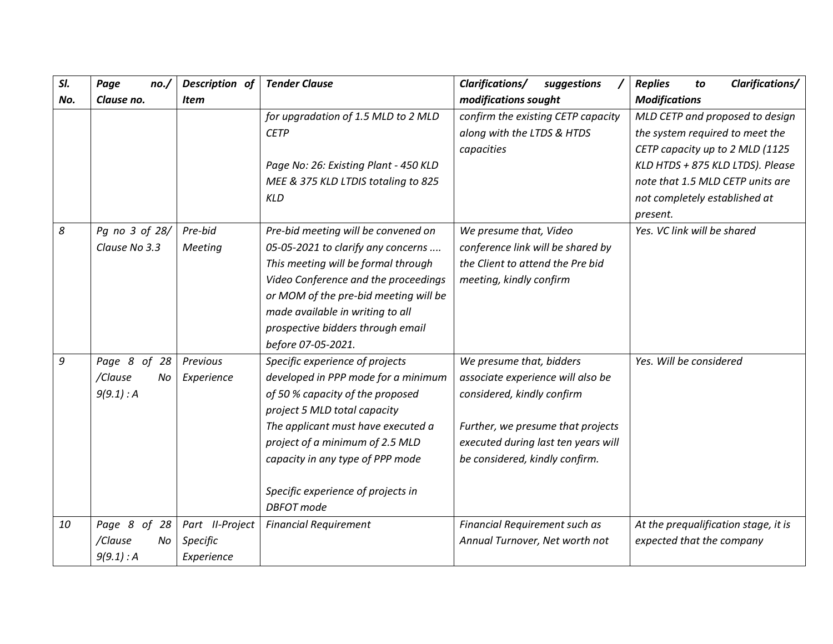| SI. | Page<br>no./   | Description of  | <b>Tender Clause</b>                  | <b>Clarifications/</b><br>suggestions | Clarifications/<br><b>Replies</b><br>to |
|-----|----------------|-----------------|---------------------------------------|---------------------------------------|-----------------------------------------|
| No. | Clause no.     | Item            |                                       | modifications sought                  | <b>Modifications</b>                    |
|     |                |                 | for upgradation of 1.5 MLD to 2 MLD   | confirm the existing CETP capacity    | MLD CETP and proposed to design         |
|     |                |                 | <b>CETP</b>                           | along with the LTDS & HTDS            | the system required to meet the         |
|     |                |                 |                                       | capacities                            | CETP capacity up to 2 MLD (1125         |
|     |                |                 | Page No: 26: Existing Plant - 450 KLD |                                       | KLD HTDS + 875 KLD LTDS). Please        |
|     |                |                 | MEE & 375 KLD LTDIS totaling to 825   |                                       | note that 1.5 MLD CETP units are        |
|     |                |                 | <b>KLD</b>                            |                                       | not completely established at           |
|     |                |                 |                                       |                                       | present.                                |
| 8   | Pg no 3 of 28/ | Pre-bid         | Pre-bid meeting will be convened on   | We presume that, Video                | Yes. VC link will be shared             |
|     | Clause No 3.3  | Meeting         | 05-05-2021 to clarify any concerns    | conference link will be shared by     |                                         |
|     |                |                 | This meeting will be formal through   | the Client to attend the Pre bid      |                                         |
|     |                |                 | Video Conference and the proceedings  | meeting, kindly confirm               |                                         |
|     |                |                 | or MOM of the pre-bid meeting will be |                                       |                                         |
|     |                |                 | made available in writing to all      |                                       |                                         |
|     |                |                 | prospective bidders through email     |                                       |                                         |
|     |                |                 | before 07-05-2021.                    |                                       |                                         |
| 9   | Page 8 of 28   | Previous        | Specific experience of projects       | We presume that, bidders              | Yes. Will be considered                 |
|     | /Clause<br>No  | Experience      | developed in PPP mode for a minimum   | associate experience will also be     |                                         |
|     | 9(9.1) : A     |                 | of 50 % capacity of the proposed      | considered, kindly confirm            |                                         |
|     |                |                 | project 5 MLD total capacity          |                                       |                                         |
|     |                |                 | The applicant must have executed a    | Further, we presume that projects     |                                         |
|     |                |                 | project of a minimum of 2.5 MLD       | executed during last ten years will   |                                         |
|     |                |                 | capacity in any type of PPP mode      | be considered, kindly confirm.        |                                         |
|     |                |                 |                                       |                                       |                                         |
|     |                |                 | Specific experience of projects in    |                                       |                                         |
|     |                |                 | <b>DBFOT</b> mode                     |                                       |                                         |
| 10  | Page 8 of 28   | Part II-Project | <b>Financial Requirement</b>          | Financial Requirement such as         | At the prequalification stage, it is    |
|     | /Clause<br>No. | Specific        |                                       | Annual Turnover, Net worth not        | expected that the company               |
|     | 9(9.1) : A     | Experience      |                                       |                                       |                                         |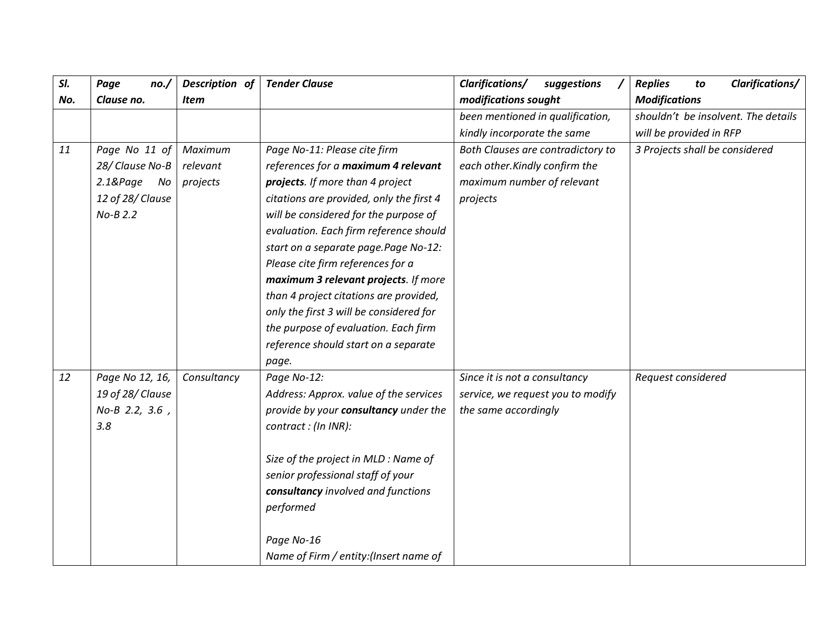| SI. | Page<br>no./      | Description of | <b>Tender Clause</b>                     | Clarifications/<br>suggestions    | Clarifications/<br><b>Replies</b><br>to |
|-----|-------------------|----------------|------------------------------------------|-----------------------------------|-----------------------------------------|
| No. | Clause no.        | <b>Item</b>    |                                          | modifications sought              | <b>Modifications</b>                    |
|     |                   |                |                                          | been mentioned in qualification,  | shouldn't be insolvent. The details     |
|     |                   |                |                                          | kindly incorporate the same       | will be provided in RFP                 |
| 11  | Page No 11 of     | Maximum        | Page No-11: Please cite firm             | Both Clauses are contradictory to | 3 Projects shall be considered          |
|     | 28/ Clause No-B   | relevant       | references for a maximum 4 relevant      | each other. Kindly confirm the    |                                         |
|     | $2.18$ Page<br>No | projects       | projects. If more than 4 project         | maximum number of relevant        |                                         |
|     | 12 of 28/ Clause  |                | citations are provided, only the first 4 | projects                          |                                         |
|     | $No-B 2.2$        |                | will be considered for the purpose of    |                                   |                                         |
|     |                   |                | evaluation. Each firm reference should   |                                   |                                         |
|     |                   |                | start on a separate page.Page No-12:     |                                   |                                         |
|     |                   |                | Please cite firm references for a        |                                   |                                         |
|     |                   |                | maximum 3 relevant projects. If more     |                                   |                                         |
|     |                   |                | than 4 project citations are provided,   |                                   |                                         |
|     |                   |                | only the first 3 will be considered for  |                                   |                                         |
|     |                   |                | the purpose of evaluation. Each firm     |                                   |                                         |
|     |                   |                | reference should start on a separate     |                                   |                                         |
|     |                   |                | page.                                    |                                   |                                         |
| 12  | Page No 12, 16,   | Consultancy    | Page No-12:                              | Since it is not a consultancy     | Request considered                      |
|     | 19 of 28/ Clause  |                | Address: Approx. value of the services   | service, we request you to modify |                                         |
|     | No-B 2.2, 3.6,    |                | provide by your consultancy under the    | the same accordingly              |                                         |
|     | 3.8               |                | contract : (In INR):                     |                                   |                                         |
|     |                   |                |                                          |                                   |                                         |
|     |                   |                | Size of the project in MLD : Name of     |                                   |                                         |
|     |                   |                | senior professional staff of your        |                                   |                                         |
|     |                   |                | consultancy involved and functions       |                                   |                                         |
|     |                   |                | performed                                |                                   |                                         |
|     |                   |                |                                          |                                   |                                         |
|     |                   |                | Page No-16                               |                                   |                                         |
|     |                   |                | Name of Firm / entity: (Insert name of   |                                   |                                         |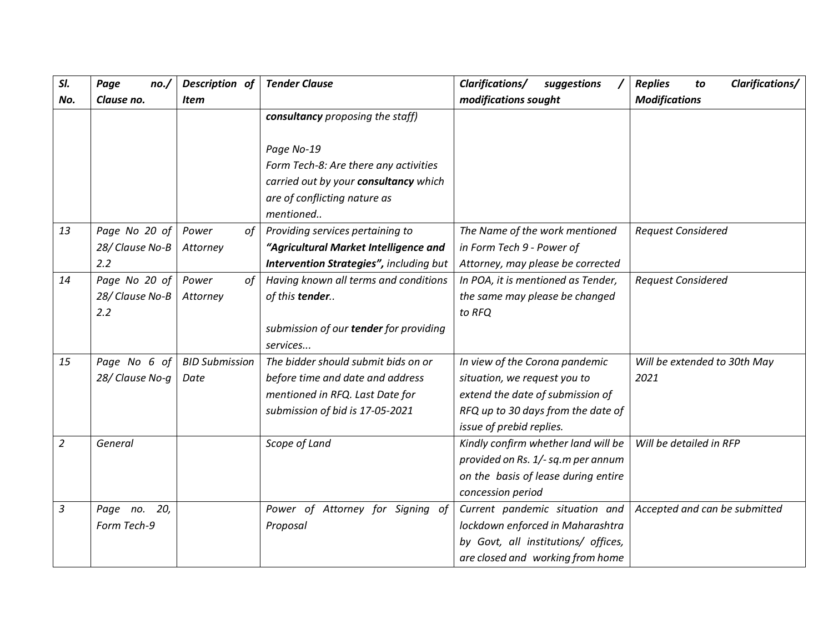| SI.            | Page<br>no./    | Description of        | <b>Tender Clause</b>                    | Clarifications/<br>suggestions      | Clarifications/<br><b>Replies</b><br>to |
|----------------|-----------------|-----------------------|-----------------------------------------|-------------------------------------|-----------------------------------------|
| No.            | Clause no.      | <b>Item</b>           |                                         | modifications sought                | <b>Modifications</b>                    |
|                |                 |                       | consultancy proposing the staff)        |                                     |                                         |
|                |                 |                       |                                         |                                     |                                         |
|                |                 |                       | Page No-19                              |                                     |                                         |
|                |                 |                       | Form Tech-8: Are there any activities   |                                     |                                         |
|                |                 |                       | carried out by your consultancy which   |                                     |                                         |
|                |                 |                       | are of conflicting nature as            |                                     |                                         |
|                |                 |                       | mentioned                               |                                     |                                         |
| 13             | Page No 20 of   | Power<br>of           | Providing services pertaining to        | The Name of the work mentioned      | <b>Request Considered</b>               |
|                | 28/ Clause No-B | Attorney              | "Agricultural Market Intelligence and   | in Form Tech 9 - Power of           |                                         |
|                | 2.2             |                       | Intervention Strategies", including but | Attorney, may please be corrected   |                                         |
| 14             | Page No 20 of   | Power<br>of           | Having known all terms and conditions   | In POA, it is mentioned as Tender,  | <b>Request Considered</b>               |
|                | 28/ Clause No-B | Attorney              | of this tender                          | the same may please be changed      |                                         |
|                | 2.2             |                       |                                         | to RFQ                              |                                         |
|                |                 |                       | submission of our tender for providing  |                                     |                                         |
|                |                 |                       | services                                |                                     |                                         |
| 15             | Page No 6 of    | <b>BID Submission</b> | The bidder should submit bids on or     | In view of the Corona pandemic      | Will be extended to 30th May            |
|                | 28/ Clause No-q | Date                  | before time and date and address        | situation, we request you to        | 2021                                    |
|                |                 |                       | mentioned in RFQ. Last Date for         | extend the date of submission of    |                                         |
|                |                 |                       | submission of bid is 17-05-2021         | RFQ up to 30 days from the date of  |                                         |
|                |                 |                       |                                         | issue of prebid replies.            |                                         |
| $\overline{2}$ | General         |                       | Scope of Land                           | Kindly confirm whether land will be | Will be detailed in RFP                 |
|                |                 |                       |                                         | provided on Rs. 1/- sq.m per annum  |                                         |
|                |                 |                       |                                         | on the basis of lease during entire |                                         |
|                |                 |                       |                                         | concession period                   |                                         |
| $\mathfrak{Z}$ | Page no.<br>20, |                       | Power of Attorney for Signing of        | Current pandemic situation and      | Accepted and can be submitted           |
|                | Form Tech-9     |                       | Proposal                                | lockdown enforced in Maharashtra    |                                         |
|                |                 |                       |                                         | by Govt, all institutions/ offices, |                                         |
|                |                 |                       |                                         | are closed and working from home    |                                         |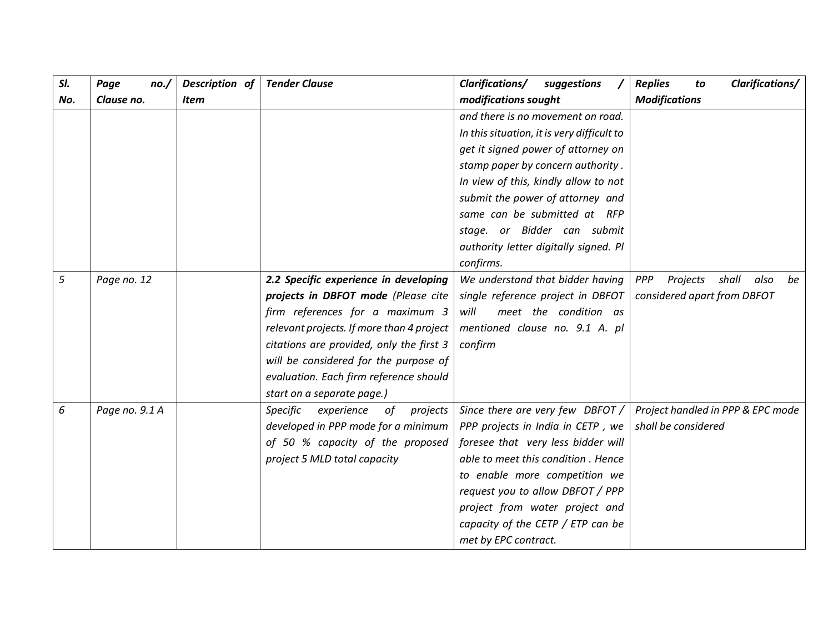| SI. | Page<br>no./   | Description of | <b>Tender Clause</b>                      | Clarifications/<br>suggestions             | Clarifications/<br><b>Replies</b><br>to |
|-----|----------------|----------------|-------------------------------------------|--------------------------------------------|-----------------------------------------|
| No. | Clause no.     | <b>Item</b>    |                                           | modifications sought                       | <b>Modifications</b>                    |
|     |                |                |                                           | and there is no movement on road.          |                                         |
|     |                |                |                                           | In this situation, it is very difficult to |                                         |
|     |                |                |                                           | get it signed power of attorney on         |                                         |
|     |                |                |                                           | stamp paper by concern authority.          |                                         |
|     |                |                |                                           | In view of this, kindly allow to not       |                                         |
|     |                |                |                                           | submit the power of attorney and           |                                         |
|     |                |                |                                           | same can be submitted at RFP               |                                         |
|     |                |                |                                           | stage. or Bidder can submit                |                                         |
|     |                |                |                                           | authority letter digitally signed. Pl      |                                         |
|     |                |                |                                           | confirms.                                  |                                         |
| 5   | Page no. 12    |                | 2.2 Specific experience in developing     | We understand that bidder having           | shall<br>also<br>PPP<br>Projects<br>be  |
|     |                |                | projects in DBFOT mode (Please cite       | single reference project in DBFOT          | considered apart from DBFOT             |
|     |                |                | firm references for a maximum 3           | meet the condition as<br>will              |                                         |
|     |                |                | relevant projects. If more than 4 project | mentioned clause no. 9.1 A. pl             |                                         |
|     |                |                | citations are provided, only the first 3  | confirm                                    |                                         |
|     |                |                | will be considered for the purpose of     |                                            |                                         |
|     |                |                | evaluation. Each firm reference should    |                                            |                                         |
|     |                |                | start on a separate page.)                |                                            |                                         |
| 6   | Page no. 9.1 A |                | Specific<br>experience<br>of<br>projects  | Since there are very few DBFOT /           | Project handled in PPP & EPC mode       |
|     |                |                | developed in PPP mode for a minimum       | PPP projects in India in CETP, we          | shall be considered                     |
|     |                |                | of 50 % capacity of the proposed          | foresee that very less bidder will         |                                         |
|     |                |                | project 5 MLD total capacity              | able to meet this condition . Hence        |                                         |
|     |                |                |                                           | to enable more competition we              |                                         |
|     |                |                |                                           | request you to allow DBFOT / PPP           |                                         |
|     |                |                |                                           | project from water project and             |                                         |
|     |                |                |                                           | capacity of the CETP / ETP can be          |                                         |
|     |                |                |                                           | met by EPC contract.                       |                                         |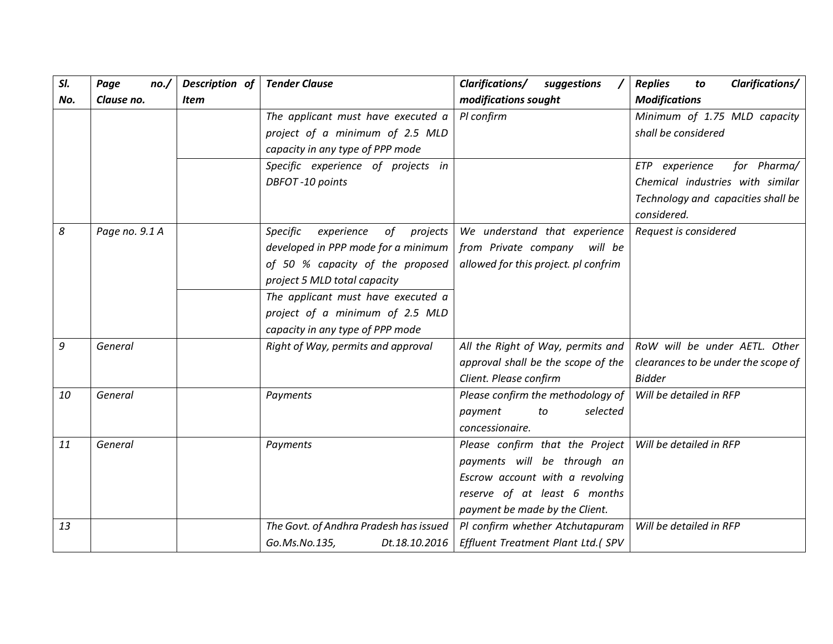| SI. | Page<br>no.    | Description of | <b>Tender Clause</b>                                                                                                                                                                                                                                             | <b>Clarifications/</b><br>suggestions                                                                                                                               | Clarifications/<br><b>Replies</b><br>to                                                                                |
|-----|----------------|----------------|------------------------------------------------------------------------------------------------------------------------------------------------------------------------------------------------------------------------------------------------------------------|---------------------------------------------------------------------------------------------------------------------------------------------------------------------|------------------------------------------------------------------------------------------------------------------------|
| No. | Clause no.     | Item           |                                                                                                                                                                                                                                                                  | modifications sought                                                                                                                                                | <b>Modifications</b>                                                                                                   |
|     |                |                | The applicant must have executed a<br>project of a minimum of 2.5 MLD<br>capacity in any type of PPP mode                                                                                                                                                        | Pl confirm                                                                                                                                                          | Minimum of 1.75 MLD capacity<br>shall be considered                                                                    |
|     |                |                | Specific experience of projects in<br>DBFOT-10 points                                                                                                                                                                                                            |                                                                                                                                                                     | ETP experience<br>for Pharma/<br>Chemical industries with similar<br>Technology and capacities shall be<br>considered. |
| 8   | Page no. 9.1 A |                | Specific<br>experience<br>of<br>projects<br>developed in PPP mode for a minimum<br>of 50 % capacity of the proposed<br>project 5 MLD total capacity<br>The applicant must have executed a<br>project of a minimum of 2.5 MLD<br>capacity in any type of PPP mode | We understand that experience<br>from Private company will be<br>allowed for this project. pl confrim                                                               | Request is considered                                                                                                  |
| 9   | General        |                | Right of Way, permits and approval                                                                                                                                                                                                                               | All the Right of Way, permits and<br>approval shall be the scope of the<br>Client. Please confirm                                                                   | RoW will be under AETL. Other<br>clearances to be under the scope of<br><b>Bidder</b>                                  |
| 10  | General        |                | Payments                                                                                                                                                                                                                                                         | Please confirm the methodology of<br>selected<br>payment<br>to<br>concessionaire.                                                                                   | Will be detailed in RFP                                                                                                |
| 11  | General        |                | Payments                                                                                                                                                                                                                                                         | Please confirm that the Project<br>payments will be through an<br>Escrow account with a revolving<br>reserve of at least 6 months<br>payment be made by the Client. | Will be detailed in RFP                                                                                                |
| 13  |                |                | The Govt. of Andhra Pradesh has issued<br>Go.Ms.No.135,<br>Dt.18.10.2016                                                                                                                                                                                         | Pl confirm whether Atchutapuram<br>Effluent Treatment Plant Ltd.( SPV                                                                                               | Will be detailed in RFP                                                                                                |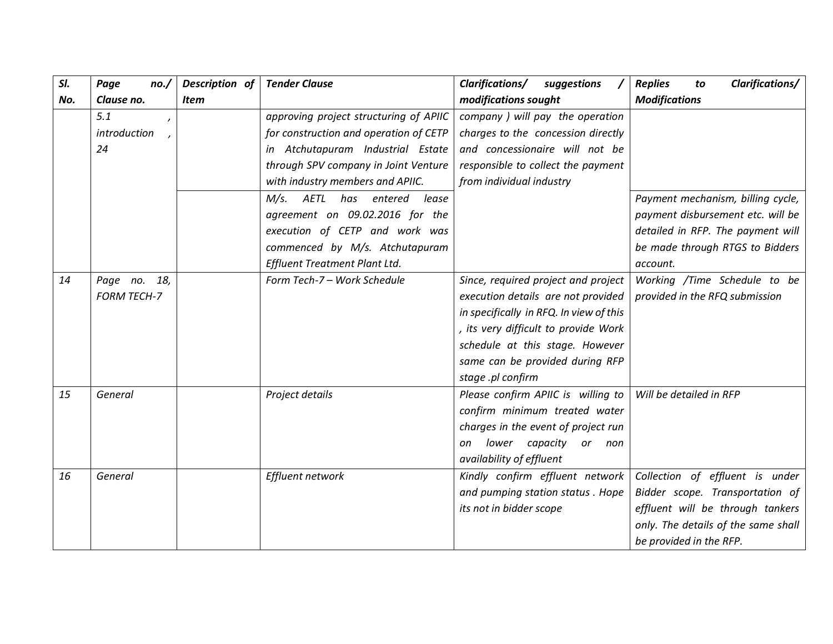| SI. | Page<br>no./       | Description of | <b>Tender Clause</b>                   | <b>Clarifications/</b><br>suggestions   | Clarifications/<br><b>Replies</b><br>to |
|-----|--------------------|----------------|----------------------------------------|-----------------------------------------|-----------------------------------------|
| No. | Clause no.         | <b>Item</b>    |                                        | modifications sought                    | <b>Modifications</b>                    |
|     | 5.1                |                | approving project structuring of APIIC | company ) will pay the operation        |                                         |
|     | introduction       |                | for construction and operation of CETP | charges to the concession directly      |                                         |
|     | 24                 |                | in Atchutapuram Industrial Estate      | and concessionaire will not be          |                                         |
|     |                    |                | through SPV company in Joint Venture   | responsible to collect the payment      |                                         |
|     |                    |                | with industry members and APIIC.       | from individual industry                |                                         |
|     |                    |                | M/s. AETL has entered<br>lease         |                                         | Payment mechanism, billing cycle,       |
|     |                    |                | agreement on 09.02.2016 for the        |                                         | payment disbursement etc. will be       |
|     |                    |                | execution of CETP and work was         |                                         | detailed in RFP. The payment will       |
|     |                    |                | commenced by M/s. Atchutapuram         |                                         | be made through RTGS to Bidders         |
|     |                    |                | Effluent Treatment Plant Ltd.          |                                         | account.                                |
| 14  | Page no. 18,       |                | Form Tech-7 - Work Schedule            | Since, required project and project     | Working /Time Schedule to be            |
|     | <b>FORM TECH-7</b> |                |                                        | execution details are not provided      | provided in the RFQ submission          |
|     |                    |                |                                        | in specifically in RFQ. In view of this |                                         |
|     |                    |                |                                        | , its very difficult to provide Work    |                                         |
|     |                    |                |                                        | schedule at this stage. However         |                                         |
|     |                    |                |                                        | same can be provided during RFP         |                                         |
|     |                    |                |                                        | stage .pl confirm                       |                                         |
| 15  | General            |                | Project details                        | Please confirm APIIC is willing to      | Will be detailed in RFP                 |
|     |                    |                |                                        | confirm minimum treated water           |                                         |
|     |                    |                |                                        | charges in the event of project run     |                                         |
|     |                    |                |                                        | lower capacity or<br>on<br>non          |                                         |
|     |                    |                |                                        | availability of effluent                |                                         |
| 16  | General            |                | Effluent network                       | Kindly confirm effluent network         | Collection of effluent is under         |
|     |                    |                |                                        | and pumping station status . Hope       | Bidder scope. Transportation of         |
|     |                    |                |                                        | its not in bidder scope                 | effluent will be through tankers        |
|     |                    |                |                                        |                                         | only. The details of the same shall     |
|     |                    |                |                                        |                                         | be provided in the RFP.                 |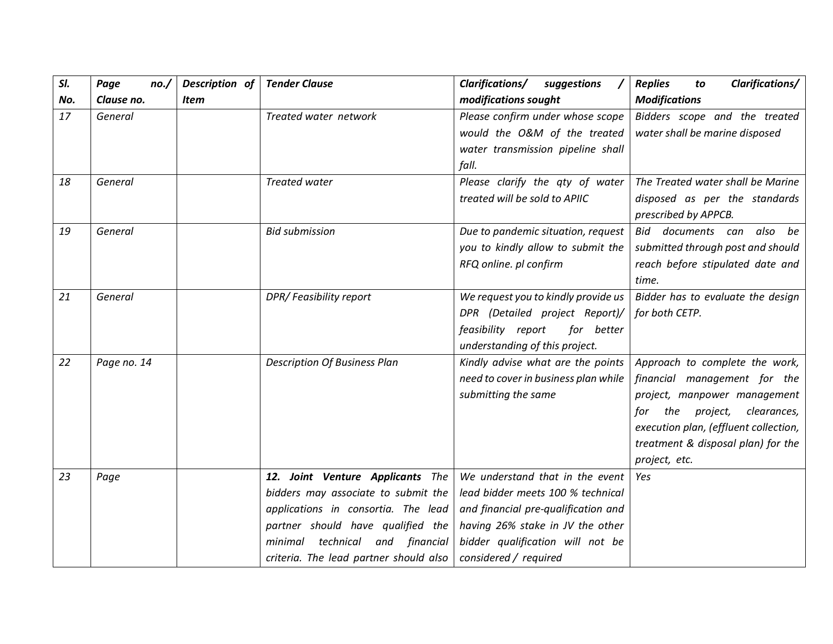| SI. | Page<br>no./ | Description of | <b>Tender Clause</b>                   | <b>Clarifications/</b><br>suggestions | <b>Clarifications/</b><br><b>Replies</b><br>to |
|-----|--------------|----------------|----------------------------------------|---------------------------------------|------------------------------------------------|
| No. | Clause no.   | Item           |                                        | modifications sought                  | <b>Modifications</b>                           |
| 17  | General      |                | Treated water network                  | Please confirm under whose scope      | Bidders scope and the treated                  |
|     |              |                |                                        | would the O&M of the treated          | water shall be marine disposed                 |
|     |              |                |                                        | water transmission pipeline shall     |                                                |
|     |              |                |                                        | fall.                                 |                                                |
| 18  | General      |                | Treated water                          | Please clarify the aty of water       | The Treated water shall be Marine              |
|     |              |                |                                        | treated will be sold to APIIC         | disposed as per the standards                  |
|     |              |                |                                        |                                       | prescribed by APPCB.                           |
| 19  | General      |                | <b>Bid submission</b>                  | Due to pandemic situation, request    | Bid documents can<br>also be                   |
|     |              |                |                                        | you to kindly allow to submit the     | submitted through post and should              |
|     |              |                |                                        | RFQ online. pl confirm                | reach before stipulated date and               |
|     |              |                |                                        |                                       | time.                                          |
| 21  | General      |                | DPR/Feasibility report                 | We request you to kindly provide us   | Bidder has to evaluate the design              |
|     |              |                |                                        | DPR (Detailed project Report)/        | for both CETP.                                 |
|     |              |                |                                        | feasibility report<br>for better      |                                                |
|     |              |                |                                        | understanding of this project.        |                                                |
| 22  | Page no. 14  |                | <b>Description Of Business Plan</b>    | Kindly advise what are the points     | Approach to complete the work,                 |
|     |              |                |                                        | need to cover in business plan while  | financial management for the                   |
|     |              |                |                                        | submitting the same                   | project, manpower management                   |
|     |              |                |                                        |                                       | the<br>project,<br>clearances,<br>tor          |
|     |              |                |                                        |                                       | execution plan, (effluent collection,          |
|     |              |                |                                        |                                       | treatment & disposal plan) for the             |
|     |              |                |                                        |                                       | project, etc.                                  |
| 23  | Page         |                | 12. Joint Venture Applicants The       | We understand that in the event       | Yes                                            |
|     |              |                | bidders may associate to submit the    | lead bidder meets 100 % technical     |                                                |
|     |              |                | applications in consortia. The lead    | and financial pre-qualification and   |                                                |
|     |              |                | partner should have qualified the      | having 26% stake in JV the other      |                                                |
|     |              |                | technical and financial<br>minimal     | bidder qualification will not be      |                                                |
|     |              |                | criteria. The lead partner should also | considered / required                 |                                                |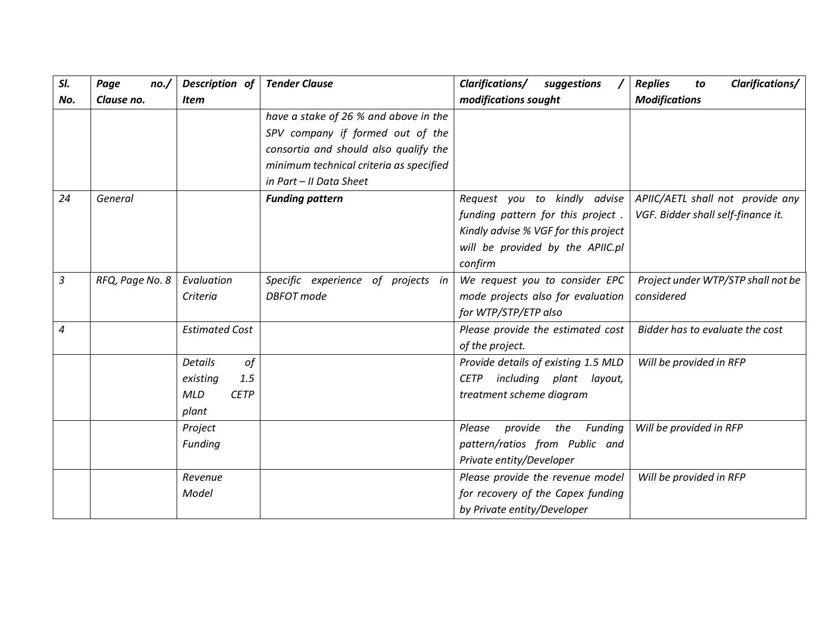| SI. | Page<br>no.     | Description of            | <b>Tender Clause</b>                    | Clarifications/<br>suggestions         | Clarifications/<br><b>Replies</b><br>to |
|-----|-----------------|---------------------------|-----------------------------------------|----------------------------------------|-----------------------------------------|
| No. | Clause no.      | <b>Item</b>               |                                         | modifications sought                   | <b>Modifications</b>                    |
|     |                 |                           | have a stake of 26 % and above in the   |                                        |                                         |
|     |                 |                           | SPV company if formed out of the        |                                        |                                         |
|     |                 |                           | consortia and should also qualify the   |                                        |                                         |
|     |                 |                           | minimum technical criteria as specified |                                        |                                         |
|     |                 |                           | in Part - II Data Sheet                 |                                        |                                         |
| 24  | General         |                           | <b>Funding pattern</b>                  | Request you to kindly advise           | APIIC/AETL shall not provide any        |
|     |                 |                           |                                         | funding pattern for this project.      | VGF. Bidder shall self-finance it.      |
|     |                 |                           |                                         | Kindly advise % VGF for this project   |                                         |
|     |                 |                           |                                         | will be provided by the APIIC.pl       |                                         |
|     |                 |                           |                                         | confirm                                |                                         |
| 3   | RFQ, Page No. 8 | Evaluation                | Specific experience of projects in      | We request you to consider EPC         | Project under WTP/STP shall not be      |
|     |                 | Criteria                  | <b>DBFOT</b> mode                       | mode projects also for evaluation      | considered                              |
|     |                 |                           |                                         | for WTP/STP/ETP also                   |                                         |
| 4   |                 | <b>Estimated Cost</b>     |                                         | Please provide the estimated cost      | Bidder has to evaluate the cost         |
|     |                 |                           |                                         | of the project.                        |                                         |
|     |                 | of<br><b>Details</b>      |                                         | Provide details of existing 1.5 MLD    | Will be provided in RFP                 |
|     |                 | 1.5<br>existing           |                                         | including plant layout,<br><b>CETP</b> |                                         |
|     |                 | <b>MLD</b><br><b>CETP</b> |                                         | treatment scheme diagram               |                                         |
|     |                 | plant                     |                                         |                                        |                                         |
|     |                 | Project                   |                                         | provide the Funding<br>Please          | Will be provided in RFP                 |
|     |                 | Funding                   |                                         | pattern/ratios from Public and         |                                         |
|     |                 |                           |                                         | Private entity/Developer               |                                         |
|     |                 | Revenue                   |                                         | Please provide the revenue model       | Will be provided in RFP                 |
|     |                 | Model                     |                                         | for recovery of the Capex funding      |                                         |
|     |                 |                           |                                         | by Private entity/Developer            |                                         |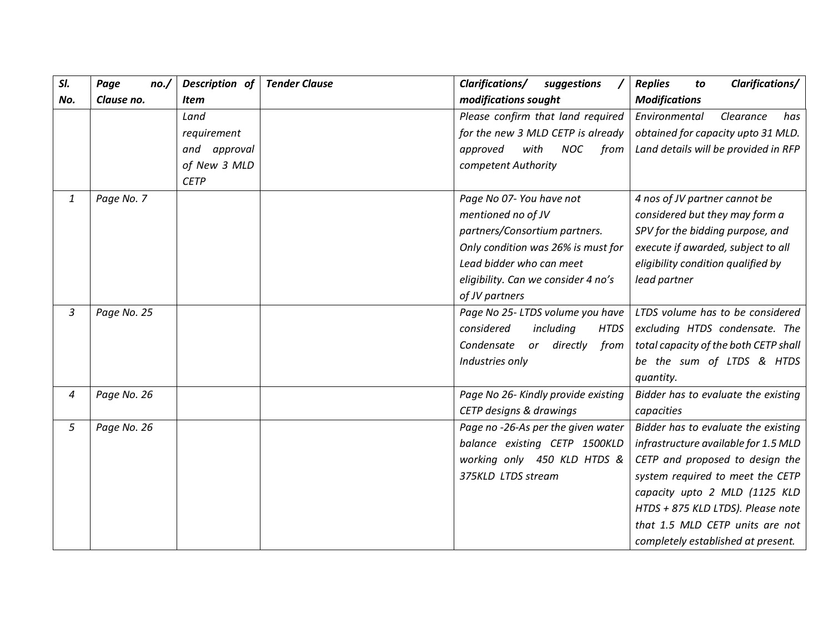| SI. | Page<br>no./ | Description of<br><b>Tender Clause</b> | Clarifications/<br>suggestions         | Clarifications/<br><b>Replies</b><br>to |
|-----|--------------|----------------------------------------|----------------------------------------|-----------------------------------------|
| No. | Clause no.   | <b>Item</b>                            | modifications sought                   | <b>Modifications</b>                    |
|     |              | Land                                   | Please confirm that land required      | Environmental<br>Clearance<br>has       |
|     |              | requirement                            | for the new 3 MLD CETP is already      | obtained for capacity upto 31 MLD.      |
|     |              | and approval                           | with<br>NOC<br>approved<br>from        | Land details will be provided in RFP    |
|     |              | of New 3 MLD                           | competent Authority                    |                                         |
|     |              | <b>CETP</b>                            |                                        |                                         |
| 1   | Page No. 7   |                                        | Page No 07- You have not               | 4 nos of JV partner cannot be           |
|     |              |                                        | mentioned no of JV                     | considered but they may form a          |
|     |              |                                        | partners/Consortium partners.          | SPV for the bidding purpose, and        |
|     |              |                                        | Only condition was 26% is must for     | execute if awarded, subject to all      |
|     |              |                                        | Lead bidder who can meet               | eligibility condition qualified by      |
|     |              |                                        | eligibility. Can we consider 4 no's    | lead partner                            |
|     |              |                                        | of JV partners                         |                                         |
| 3   | Page No. 25  |                                        | Page No 25- LTDS volume you have       | LTDS volume has to be considered        |
|     |              |                                        | considered<br>including<br><b>HTDS</b> | excluding HTDS condensate. The          |
|     |              |                                        | Condensate<br>directly<br>from<br>or   | total capacity of the both CETP shall   |
|     |              |                                        | Industries only                        | be the sum of LTDS & HTDS               |
|     |              |                                        |                                        | quantity.                               |
| 4   | Page No. 26  |                                        | Page No 26- Kindly provide existing    | Bidder has to evaluate the existing     |
|     |              |                                        | CETP designs & drawings                | capacities                              |
| 5   | Page No. 26  |                                        | Page no -26-As per the given water     | Bidder has to evaluate the existing     |
|     |              |                                        | balance existing CETP 1500KLD          | infrastructure available for 1.5 MLD    |
|     |              |                                        | working only 450 KLD HTDS &            | CETP and proposed to design the         |
|     |              |                                        | 375KLD LTDS stream                     | system required to meet the CETP        |
|     |              |                                        |                                        | capacity upto 2 MLD (1125 KLD           |
|     |              |                                        |                                        | HTDS + 875 KLD LTDS). Please note       |
|     |              |                                        |                                        | that 1.5 MLD CETP units are not         |
|     |              |                                        |                                        | completely established at present.      |